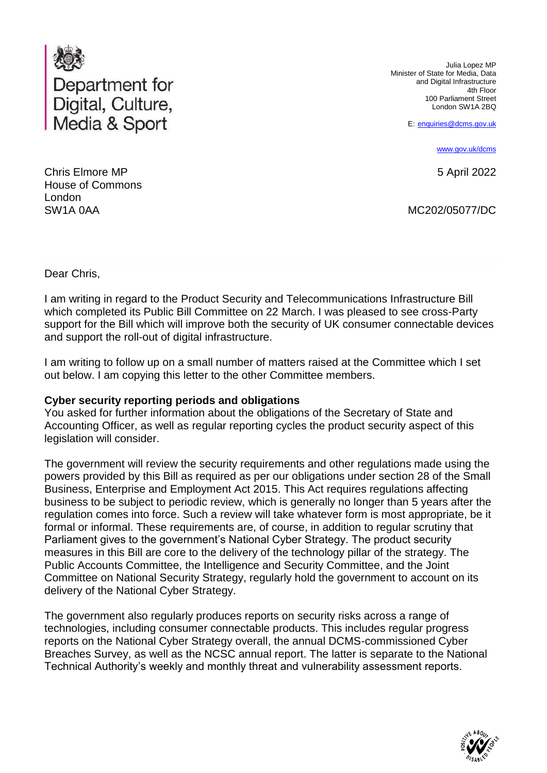

Julia Lopez MP Minister of State for Media, Data and Digital Infrastructure 4th Floor 100 Parliament Street London SW1A 2BQ

E: [enquiries@dcms.gov.uk](mailto:enquiries@dcms.gov.uk)

[www.gov.uk/dcms](http://www.gov.uk/dcms)

5 April 2022

MC202/05077/DC

Chris Elmore MP House of Commons London SW1A 0AA

Dear Chris,

I am writing in regard to the Product Security and Telecommunications Infrastructure Bill which completed its Public Bill Committee on 22 March. I was pleased to see cross-Party support for the Bill which will improve both the security of UK consumer connectable devices and support the roll-out of digital infrastructure.

I am writing to follow up on a small number of matters raised at the Committee which I set out below. I am copying this letter to the other Committee members.

## **Cyber security reporting periods and obligations**

You asked for further information about the obligations of the Secretary of State and Accounting Officer, as well as regular reporting cycles the product security aspect of this legislation will consider.

The government will review the security requirements and other regulations made using the powers provided by this Bill as required as per our obligations under section 28 of the Small Business, Enterprise and Employment Act 2015. This Act requires regulations affecting business to be subject to periodic review, which is generally no longer than 5 years after the regulation comes into force. Such a review will take whatever form is most appropriate, be it formal or informal. These requirements are, of course, in addition to regular scrutiny that Parliament gives to the government's National Cyber Strategy. The product security measures in this Bill are core to the delivery of the technology pillar of the strategy. The Public Accounts Committee, the Intelligence and Security Committee, and the Joint Committee on National Security Strategy, regularly hold the government to account on its delivery of the National Cyber Strategy.

The government also regularly produces reports on security risks across a range of technologies, including consumer connectable products. This includes regular progress reports on the National Cyber Strategy overall, the annual DCMS-commissioned Cyber Breaches Survey, as well as the NCSC annual report. The latter is separate to the National Technical Authority's weekly and monthly threat and vulnerability assessment reports.

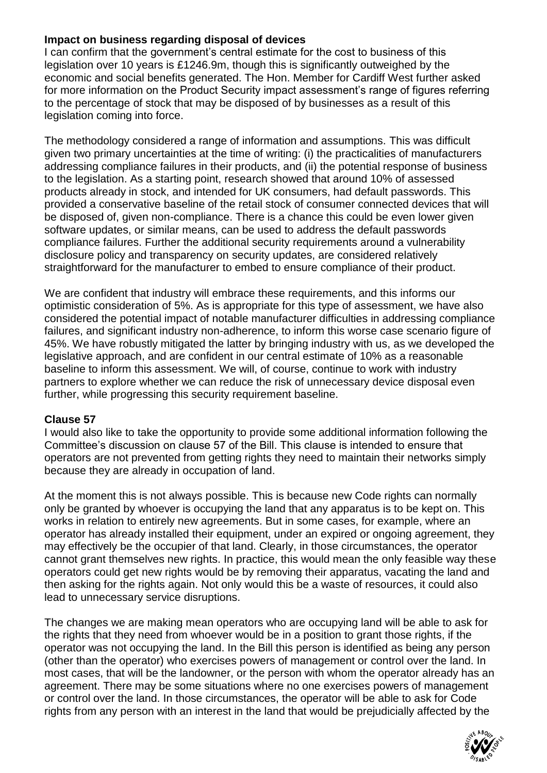## **Impact on business regarding disposal of devices**

I can confirm that the government's central estimate for the cost to business of this legislation over 10 years is £1246.9m, though this is significantly outweighed by the economic and social benefits generated. The Hon. Member for Cardiff West further asked for more information on the Product Security impact assessment's range of figures referring to the percentage of stock that may be disposed of by businesses as a result of this legislation coming into force.

The methodology considered a range of information and assumptions. This was difficult given two primary uncertainties at the time of writing: (i) the practicalities of manufacturers addressing compliance failures in their products, and (ii) the potential response of business to the legislation. As a starting point, research showed that around 10% of assessed products already in stock, and intended for UK consumers, had default passwords. This provided a conservative baseline of the retail stock of consumer connected devices that will be disposed of, given non-compliance. There is a chance this could be even lower given software updates, or similar means, can be used to address the default passwords compliance failures. Further the additional security requirements around a vulnerability disclosure policy and transparency on security updates, are considered relatively straightforward for the manufacturer to embed to ensure compliance of their product.

We are confident that industry will embrace these requirements, and this informs our optimistic consideration of 5%. As is appropriate for this type of assessment, we have also considered the potential impact of notable manufacturer difficulties in addressing compliance failures, and significant industry non-adherence, to inform this worse case scenario figure of 45%. We have robustly mitigated the latter by bringing industry with us, as we developed the legislative approach, and are confident in our central estimate of 10% as a reasonable baseline to inform this assessment. We will, of course, continue to work with industry partners to explore whether we can reduce the risk of unnecessary device disposal even further, while progressing this security requirement baseline.

## **Clause 57**

I would also like to take the opportunity to provide some additional information following the Committee's discussion on clause 57 of the Bill. This clause is intended to ensure that operators are not prevented from getting rights they need to maintain their networks simply because they are already in occupation of land.

At the moment this is not always possible. This is because new Code rights can normally only be granted by whoever is occupying the land that any apparatus is to be kept on. This works in relation to entirely new agreements. But in some cases, for example, where an operator has already installed their equipment, under an expired or ongoing agreement, they may effectively be the occupier of that land. Clearly, in those circumstances, the operator cannot grant themselves new rights. In practice, this would mean the only feasible way these operators could get new rights would be by removing their apparatus, vacating the land and then asking for the rights again. Not only would this be a waste of resources, it could also lead to unnecessary service disruptions.

The changes we are making mean operators who are occupying land will be able to ask for the rights that they need from whoever would be in a position to grant those rights, if the operator was not occupying the land. In the Bill this person is identified as being any person (other than the operator) who exercises powers of management or control over the land. In most cases, that will be the landowner, or the person with whom the operator already has an agreement. There may be some situations where no one exercises powers of management or control over the land. In those circumstances, the operator will be able to ask for Code rights from any person with an interest in the land that would be prejudicially affected by the